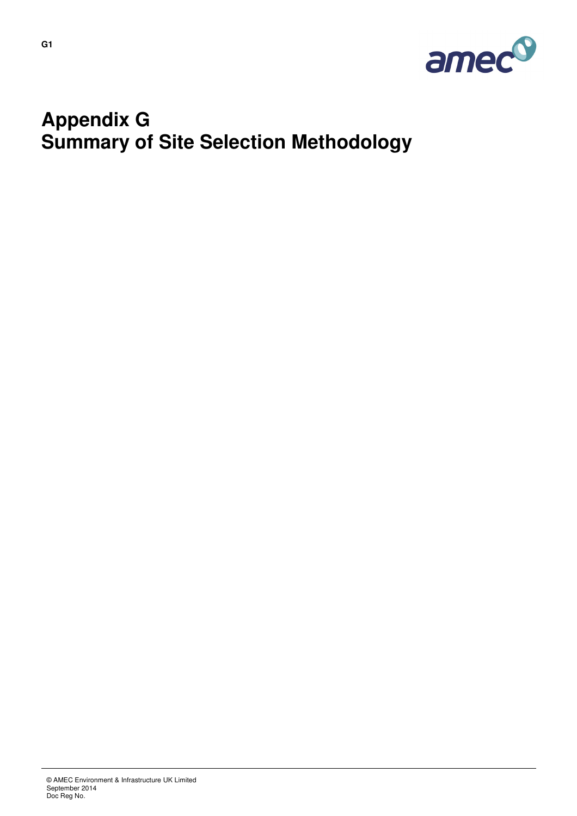

# **Appendix G Summary of Site Selection Methodology**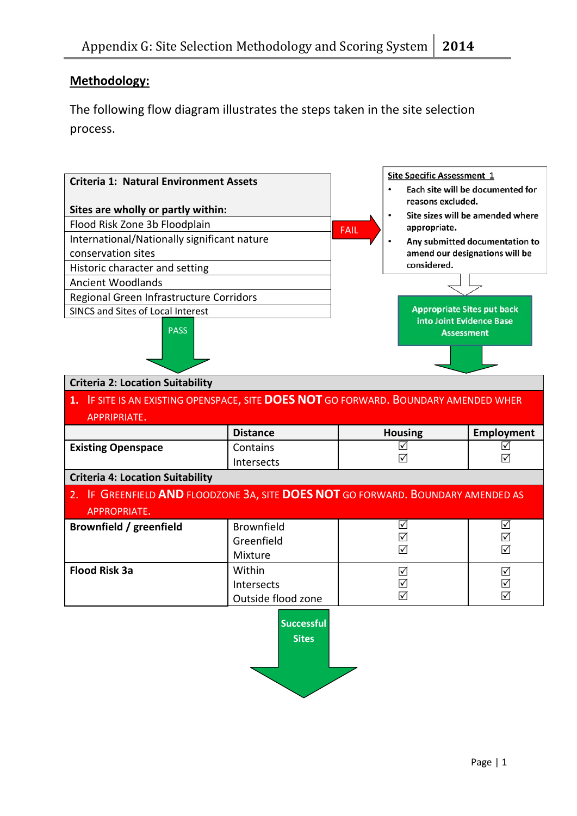## **Methodology:**

The following flow diagram illustrates the steps taken in the site selection process.

| <b>Criteria 1: Natural Environment Assets</b><br>Sites are wholly or partly within:<br>Flood Risk Zone 3b Floodplain<br>International/Nationally significant nature<br>conservation sites<br>Historic character and setting<br><b>Ancient Woodlands</b><br>Regional Green Infrastructure Corridors<br>SINCS and Sites of Local Interest<br><b>PASS</b><br><b>Criteria 2: Location Suitability</b><br>1. IF SITE IS AN EXISTING OPENSPACE, SITE DOES NOT GO FORWARD. BOUNDARY AMENDED WHER<br><b>APPRIPRIATE.</b> |                                            | <b>FAIL</b> | <b>Site Specific Assessment 1</b><br>reasons excluded.<br>$\bullet$<br>appropriate.<br>$\bullet$<br>considered.<br><b>Appropriate Sites put back</b><br>into Joint Evidence Base<br><b>Assessment</b> | Each site will be documented for<br>Site sizes will be amended where<br>Any submitted documentation to<br>amend our designations will be |  |
|------------------------------------------------------------------------------------------------------------------------------------------------------------------------------------------------------------------------------------------------------------------------------------------------------------------------------------------------------------------------------------------------------------------------------------------------------------------------------------------------------------------|--------------------------------------------|-------------|-------------------------------------------------------------------------------------------------------------------------------------------------------------------------------------------------------|------------------------------------------------------------------------------------------------------------------------------------------|--|
|                                                                                                                                                                                                                                                                                                                                                                                                                                                                                                                  | <b>Distance</b>                            |             | <b>Housing</b>                                                                                                                                                                                        | Employment                                                                                                                               |  |
| <b>Existing Openspace</b>                                                                                                                                                                                                                                                                                                                                                                                                                                                                                        | Contains<br>Intersects                     |             | ☑<br>☑                                                                                                                                                                                                | ☑<br>☑                                                                                                                                   |  |
| <b>Criteria 4: Location Suitability</b>                                                                                                                                                                                                                                                                                                                                                                                                                                                                          |                                            |             |                                                                                                                                                                                                       |                                                                                                                                          |  |
| 2. IF GREENFIELD AND FLOODZONE 3A, SITE DOES NOT GO FORWARD. BOUNDARY AMENDED AS<br><b>APPROPRIATE.</b>                                                                                                                                                                                                                                                                                                                                                                                                          |                                            |             |                                                                                                                                                                                                       |                                                                                                                                          |  |
| Brownfield / greenfield                                                                                                                                                                                                                                                                                                                                                                                                                                                                                          | <b>Brownfield</b><br>Greenfield<br>Mixture |             | ☑<br>☑<br>☑                                                                                                                                                                                           | $\triangledown$<br>☑<br>☑                                                                                                                |  |
| <b>Flood Risk 3a</b>                                                                                                                                                                                                                                                                                                                                                                                                                                                                                             | Within<br>Intersects<br>Outside flood zone |             | ☑<br>$\sqrt{}$<br>☑                                                                                                                                                                                   | $\triangledown$<br>$\checkmark$<br>$\overline{\vee}$                                                                                     |  |
|                                                                                                                                                                                                                                                                                                                                                                                                                                                                                                                  | <b>Successful</b><br><b>Sites</b>          |             |                                                                                                                                                                                                       |                                                                                                                                          |  |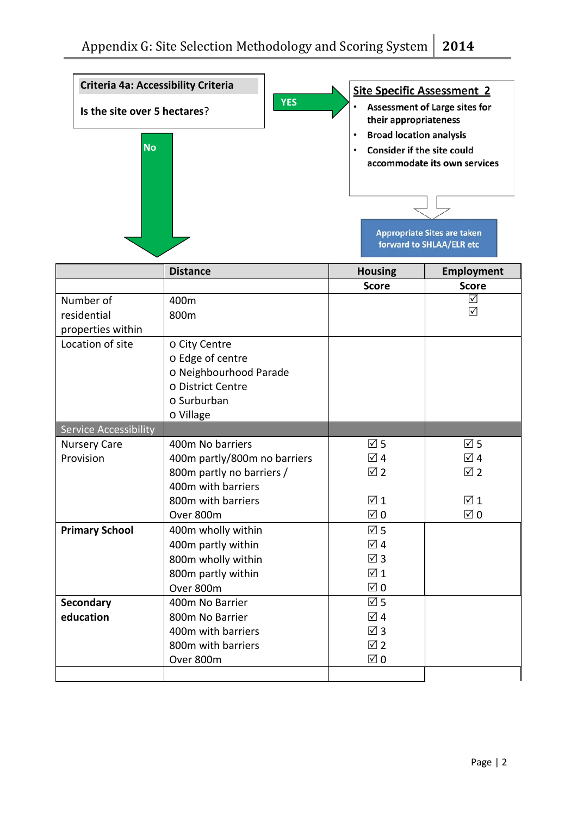| Criteria 4a: Accessibility Criteria           |                                                                                                                                        |            | <b>Site Specific Assessment 2</b>                                                                         |                                                                                                                                        |
|-----------------------------------------------|----------------------------------------------------------------------------------------------------------------------------------------|------------|-----------------------------------------------------------------------------------------------------------|----------------------------------------------------------------------------------------------------------------------------------------|
| Is the site over 5 hectares?<br><b>No</b>     |                                                                                                                                        | <b>YES</b> | their appropriateness<br><b>Broad location analysis</b><br>$\bullet$<br><b>Consider if the site could</b> | <b>Assessment of Large sites for</b><br>accommodate its own services<br><b>Appropriate Sites are taken</b><br>forward to SHLAA/ELR etc |
|                                               | <b>Distance</b>                                                                                                                        |            | <b>Housing</b>                                                                                            | Employment                                                                                                                             |
|                                               |                                                                                                                                        |            | <b>Score</b>                                                                                              | <b>Score</b>                                                                                                                           |
| Number of<br>residential<br>properties within | 400m<br>800m                                                                                                                           |            |                                                                                                           | ☑<br>☑                                                                                                                                 |
| Location of site                              | o City Centre<br>o Edge of centre<br>o Neighbourhood Parade<br>o District Centre<br>$\circ$ Surburban<br>o Village                     |            |                                                                                                           |                                                                                                                                        |
| Service Accessibility                         |                                                                                                                                        |            |                                                                                                           |                                                                                                                                        |
| <b>Nursery Care</b><br>Provision              | 400m No barriers<br>400m partly/800m no barriers<br>800m partly no barriers /<br>400m with barriers<br>800m with barriers<br>Over 800m |            | $\overline{\boxtimes}$ 5<br>☑ 4<br>$\overline{2}$<br>$\sqrt{1}$<br>$\boxtimes$ 0                          | $\overline{1}$ 5<br>$\sqrt{4}$<br>$\boxtimes$ 2<br>$\boxtimes$ 1<br>$\boxtimes$ 0                                                      |
| <b>Primary School</b>                         | 400m wholly within<br>400m partly within<br>800m wholly within<br>800m partly within<br>Over 800m                                      |            | $\overline{\triangle}$ 5<br>☑ 4<br>$\overline{\boxtimes}$ 3<br>$\overline{1}$<br>$\boxtimes$ 0            |                                                                                                                                        |
| <b>Secondary</b><br>education                 | 400m No Barrier<br>800m No Barrier<br>400m with barriers<br>800m with barriers<br>Over 800m                                            |            | $\overline{\boxtimes}$ 5<br>☑ 4<br>$\boxtimes$ 3<br>$\overline{2}$<br>$\boxtimes$ 0                       |                                                                                                                                        |
|                                               |                                                                                                                                        |            |                                                                                                           |                                                                                                                                        |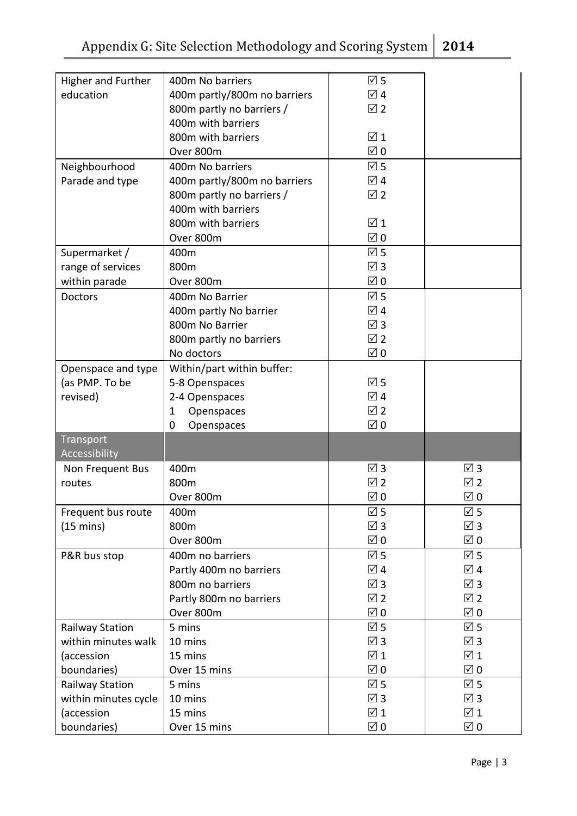| Higher and Further     | 400m No barriers             | $\overline{\triangle}$ 5       |                          |
|------------------------|------------------------------|--------------------------------|--------------------------|
| education              | 400m partly/800m no barriers | $\overline{\trianglelefteq}$ 4 |                          |
|                        | 800m partly no barriers /    | $\overline{2}$                 |                          |
|                        | 400m with barriers           |                                |                          |
|                        | 800m with barriers           | $\overline{1}$                 |                          |
|                        |                              |                                |                          |
|                        | Over 800m                    | $\boxtimes$ 0                  |                          |
| Neighbourhood          | 400m No barriers             | $\overline{1}$ 5               |                          |
| Parade and type        | 400m partly/800m no barriers | $\overline{\trianglelefteq}$ 4 |                          |
|                        | 800m partly no barriers /    | $\overline{2}$                 |                          |
|                        | 400m with barriers           |                                |                          |
|                        | 800m with barriers           | $\boxtimes$ 1                  |                          |
|                        | Over 800m                    | $\boxtimes$ 0                  |                          |
| Supermarket /          | 400m                         | $\overline{2}$ 5               |                          |
| range of services      | 800m                         | $\boxtimes$ 3                  |                          |
| within parade          | Over 800m                    | $\boxtimes$ 0                  |                          |
|                        |                              |                                |                          |
| <b>Doctors</b>         | 400m No Barrier              | $\overline{M}$ 5               |                          |
|                        | 400m partly No barrier       | ☑ 4                            |                          |
|                        | 800m No Barrier              | $\overline{\triangle}$ 3       |                          |
|                        | 800m partly no barriers      | $\overline{2}$                 |                          |
|                        | No doctors                   | $\overline{\boxtimes}$ 0       |                          |
| Openspace and type     | Within/part within buffer:   |                                |                          |
| (as PMP. To be         | 5-8 Openspaces               | $\overline{1}$ 5               |                          |
| revised)               | 2-4 Openspaces               | ☑ 4                            |                          |
|                        | Openspaces<br>1              | $\overline{v}$ 2               |                          |
|                        | 0<br>Openspaces              | $\boxtimes$ 0                  |                          |
| Transport              |                              |                                |                          |
| Accessibility          |                              |                                |                          |
| Non Frequent Bus       | 400m                         | $\overline{\triangle}$ 3       | $\overline{\boxtimes}$ 3 |
| routes                 | 800m                         | ☑ 2                            | $\overline{2}$           |
|                        | Over 800m                    | $\boxtimes$ 0                  | $\boxtimes$ 0            |
| Frequent bus route     | 400m                         | $\overline{\triangle}$ 5       | $\overline{1}$ 5         |
|                        |                              | $\overline{\triangle}$ 3       | $\boxtimes$ 3            |
| $(15 \text{ mins})$    | 800m                         |                                |                          |
|                        | Over 800m                    | $\boxtimes$ 0                  | $\boxtimes$ 0            |
| P&R bus stop           | 400m no barriers             | $\overline{2}$ 5               | $\overline{1}$ 5         |
|                        | Partly 400m no barriers      | ☑ 4                            | ☑ 4                      |
|                        | 800m no barriers             | $\overline{M}$ 3               | $\overline{\boxtimes}$ 3 |
|                        | Partly 800m no barriers      | ☑ 2                            | ☑2                       |
|                        | Over 800m                    | $\overline{M}$ 0               | $\boxtimes$ 0            |
| <b>Railway Station</b> | 5 mins                       | $\overline{\triangle}$ 5       | $\overline{1}$ 5         |
| within minutes walk    | 10 mins                      | $\boxtimes$ 3                  | $\boxtimes$ 3            |
| (accession             | 15 mins                      | $\overline{1}$                 | $\overline{1}$           |
| boundaries)            | Over 15 mins                 | $\boxtimes$ 0                  | $\boxtimes$ 0            |
|                        | 5 mins                       | $\overline{\triangle}$ 5       | $\overline{\boxtimes}$ 5 |
| Railway Station        |                              |                                |                          |
| within minutes cycle   | 10 mins                      | $\boxtimes$ 3                  | $\overline{\boxtimes}$ 3 |
| (accession             | 15 mins                      | $\sqrt{1}$                     | $\overline{v}$ 1         |
| boundaries)            | Over 15 mins                 | $\boxtimes$ 0                  | $\boxtimes$ 0            |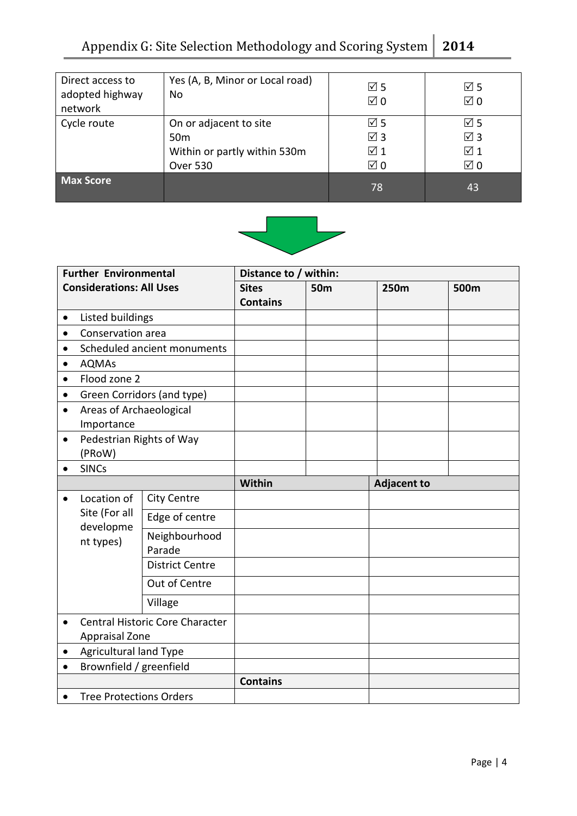| Direct access to<br>adopted highway<br>network | Yes (A, B, Minor or Local road)<br>No                                                 | $\overline{1}$ 5<br>$\boxtimes$ 0                   | $\boxtimes$ 5<br>$\boxtimes$ 0                                  |
|------------------------------------------------|---------------------------------------------------------------------------------------|-----------------------------------------------------|-----------------------------------------------------------------|
| Cycle route                                    | On or adjacent to site<br>50 <sub>m</sub><br>Within or partly within 530m<br>Over 530 | ☑ 5<br>$\boxtimes$ 3<br>$\sqrt{1}$<br>$\boxtimes$ 0 | $\boxtimes$ 5<br>$\boxtimes$ 3<br>$\sqrt{1}$ 1<br>$\boxtimes$ 0 |
| <b>Max Score</b>                               |                                                                                       | 78                                                  | 43                                                              |



| <b>Further Environmental</b>    |                                                          | Distance to / within:       |                 |      |                    |  |
|---------------------------------|----------------------------------------------------------|-----------------------------|-----------------|------|--------------------|--|
| <b>Considerations: All Uses</b> |                                                          | <b>Sites</b>                | <b>50m</b>      | 250m | 500m               |  |
|                                 |                                                          |                             | <b>Contains</b> |      |                    |  |
| ٠                               | Listed buildings                                         |                             |                 |      |                    |  |
| $\bullet$                       | Conservation area                                        |                             |                 |      |                    |  |
| $\bullet$                       |                                                          | Scheduled ancient monuments |                 |      |                    |  |
| $\bullet$                       | <b>AQMAs</b>                                             |                             |                 |      |                    |  |
| $\bullet$                       | Flood zone 2                                             |                             |                 |      |                    |  |
| $\bullet$                       |                                                          | Green Corridors (and type)  |                 |      |                    |  |
| $\bullet$                       | Areas of Archaeological<br>Importance                    |                             |                 |      |                    |  |
| $\bullet$                       | Pedestrian Rights of Way<br>(PRoW)                       |                             |                 |      |                    |  |
|                                 | <b>SINCs</b>                                             |                             |                 |      |                    |  |
|                                 |                                                          |                             | Within          |      | <b>Adjacent to</b> |  |
| $\bullet$                       | Location of<br>Site (For all<br>developme<br>nt types)   | <b>City Centre</b>          |                 |      |                    |  |
|                                 |                                                          | Edge of centre              |                 |      |                    |  |
|                                 |                                                          | Neighbourhood<br>Parade     |                 |      |                    |  |
|                                 |                                                          | <b>District Centre</b>      |                 |      |                    |  |
|                                 |                                                          | Out of Centre               |                 |      |                    |  |
|                                 |                                                          | Village                     |                 |      |                    |  |
|                                 | Central Historic Core Character<br><b>Appraisal Zone</b> |                             |                 |      |                    |  |
| $\bullet$                       | <b>Agricultural land Type</b>                            |                             |                 |      |                    |  |
| $\bullet$                       | Brownfield / greenfield                                  |                             |                 |      |                    |  |
|                                 |                                                          |                             | <b>Contains</b> |      |                    |  |
|                                 | <b>Tree Protections Orders</b>                           |                             |                 |      |                    |  |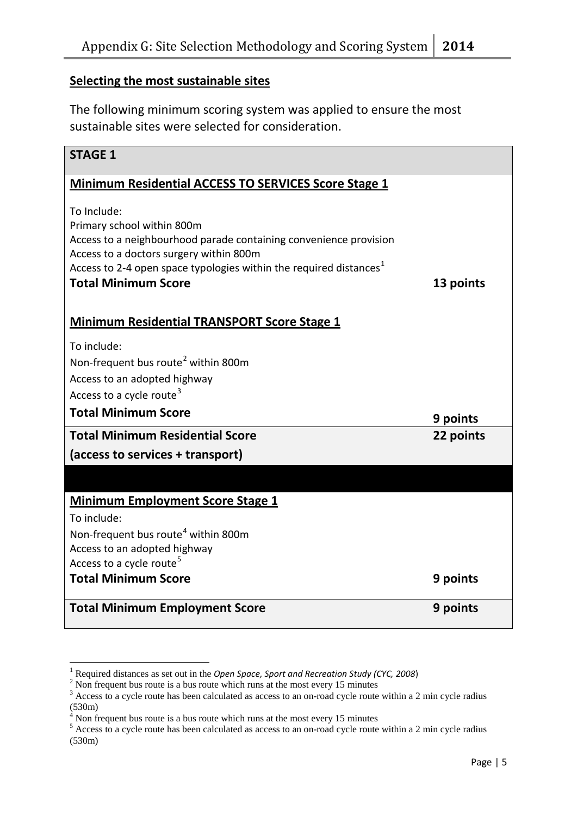#### **Selecting the most sustainable sites**

The following minimum scoring system was applied to ensure the most sustainable sites were selected for consideration.

| <b>STAGE 1</b>                                                                                                                                                                                                                                                            |           |
|---------------------------------------------------------------------------------------------------------------------------------------------------------------------------------------------------------------------------------------------------------------------------|-----------|
| Minimum Residential ACCESS TO SERVICES Score Stage 1                                                                                                                                                                                                                      |           |
| To Include:<br>Primary school within 800m<br>Access to a neighbourhood parade containing convenience provision<br>Access to a doctors surgery within 800m<br>Access to 2-4 open space typologies within the required distances <sup>1</sup><br><b>Total Minimum Score</b> | 13 points |
| <b>Minimum Residential TRANSPORT Score Stage 1</b>                                                                                                                                                                                                                        |           |
| To include:<br>Non-frequent bus route <sup>2</sup> within 800m<br>Access to an adopted highway<br>Access to a cycle route <sup>3</sup>                                                                                                                                    |           |
| <b>Total Minimum Score</b>                                                                                                                                                                                                                                                | 9 points  |
| <b>Total Minimum Residential Score</b>                                                                                                                                                                                                                                    | 22 points |
| (access to services + transport)                                                                                                                                                                                                                                          |           |
|                                                                                                                                                                                                                                                                           |           |
| <b>Minimum Employment Score Stage 1</b>                                                                                                                                                                                                                                   |           |
| To include:                                                                                                                                                                                                                                                               |           |
| Non-frequent bus route <sup>4</sup> within 800m                                                                                                                                                                                                                           |           |
| Access to an adopted highway                                                                                                                                                                                                                                              |           |
| Access to a cycle route <sup>5</sup><br><b>Total Minimum Score</b>                                                                                                                                                                                                        |           |
|                                                                                                                                                                                                                                                                           | 9 points  |
| <b>Total Minimum Employment Score</b>                                                                                                                                                                                                                                     | 9 points  |

<u>.</u>

<span id="page-5-0"></span><sup>&</sup>lt;sup>1</sup> Required distances as set out in the *Open Space, Sport and Recreation Study (CYC, 2008*)<sup>2</sup> Non frequent bus route is a bus route which runs at the most every 15 minutes

<span id="page-5-2"></span><span id="page-5-1"></span><sup>&</sup>lt;sup>3</sup> Access to a cycle route has been calculated as access to an on-road cycle route within a 2 min cycle radius  $(530m)$ 

Non frequent bus route is a bus route which runs at the most every 15 minutes

<span id="page-5-4"></span><span id="page-5-3"></span> $5$  Access to a cycle route has been calculated as access to an on-road cycle route within a 2 min cycle radius (530m)